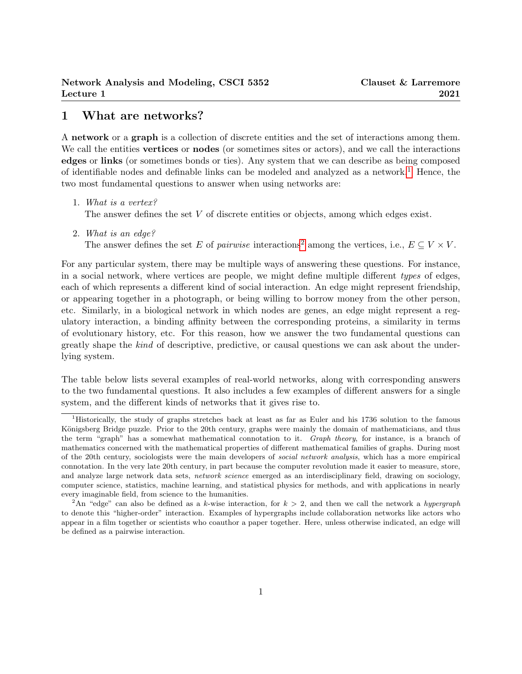# 1 What are networks?

A network or a graph is a collection of discrete entities and the set of interactions among them. We call the entities **vertices** or **nodes** (or sometimes sites or actors), and we call the interactions edges or links (or sometimes bonds or ties). Any system that we can describe as being composed of identifiable nodes and definable links can be modeled and analyzed as a network.<sup>[1](#page-0-0)</sup> Hence, the two most fundamental questions to answer when using networks are:

1. What is a vertex?

The answer defines the set V of discrete entities or objects, among which edges exist.

2. What is an edge?

The answer defines the set E of pairwise interactions<sup>[2](#page-0-1)</sup> among the vertices, i.e.,  $E \subseteq V \times V$ .

For any particular system, there may be multiple ways of answering these questions. For instance, in a social network, where vertices are people, we might define multiple different types of edges, each of which represents a different kind of social interaction. An edge might represent friendship, or appearing together in a photograph, or being willing to borrow money from the other person, etc. Similarly, in a biological network in which nodes are genes, an edge might represent a regulatory interaction, a binding affinity between the corresponding proteins, a similarity in terms of evolutionary history, etc. For this reason, how we answer the two fundamental questions can greatly shape the kind of descriptive, predictive, or causal questions we can ask about the underlying system.

The table below lists several examples of real-world networks, along with corresponding answers to the two fundamental questions. It also includes a few examples of different answers for a single system, and the different kinds of networks that it gives rise to.

<span id="page-0-0"></span><sup>1</sup>Historically, the study of graphs stretches back at least as far as Euler and his 1736 solution to the famous Königsberg Bridge puzzle. Prior to the 20th century, graphs were mainly the domain of mathematicians, and thus the term "graph" has a somewhat mathematical connotation to it. Graph theory, for instance, is a branch of mathematics concerned with the mathematical properties of different mathematical families of graphs. During most of the 20th century, sociologists were the main developers of social network analysis, which has a more empirical connotation. In the very late 20th century, in part because the computer revolution made it easier to measure, store, and analyze large network data sets, network science emerged as an interdisciplinary field, drawing on sociology, computer science, statistics, machine learning, and statistical physics for methods, and with applications in nearly every imaginable field, from science to the humanities.

<span id="page-0-1"></span><sup>&</sup>lt;sup>2</sup>An "edge" can also be defined as a k-wise interaction, for  $k > 2$ , and then we call the network a hypergraph to denote this "higher-order" interaction. Examples of hypergraphs include collaboration networks like actors who appear in a film together or scientists who coauthor a paper together. Here, unless otherwise indicated, an edge will be defined as a pairwise interaction.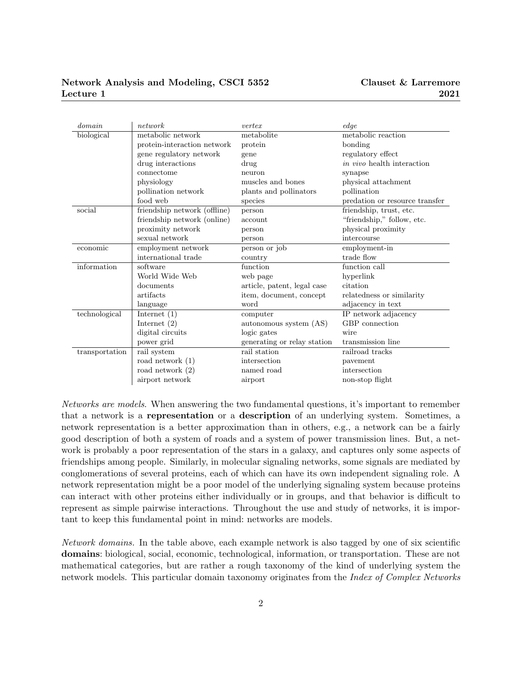## Network Analysis and Modeling, CSCI 5352 Lecture 1

| domain         | network                      | vertex                      | edge                              |
|----------------|------------------------------|-----------------------------|-----------------------------------|
| biological     | metabolic network            | metabolite                  | metabolic reaction                |
|                | protein-interaction network  | protein                     | bonding                           |
|                | gene regulatory network      | gene                        | regulatory effect                 |
|                | drug interactions            | drug                        | <i>in vivo</i> health interaction |
|                | connectome                   | neuron                      | synapse                           |
|                | physiology                   | muscles and bones           | physical attachment               |
|                | pollination network          | plants and pollinators      | pollination                       |
|                | food web                     | species                     | predation or resource transfer    |
| social         | friendship network (offline) | person                      | friendship, trust, etc.           |
|                | friendship network (online)  | account                     | "friendship," follow, etc.        |
|                | proximity network            | person                      | physical proximity                |
|                | sexual network               | person                      | intercourse                       |
| economic       | employment network           | person or job               | employment-in                     |
|                | international trade          | country                     | trade flow                        |
| information    | software                     | function                    | function call                     |
|                | World Wide Web               | web page                    | hyperlink                         |
|                | documents                    | article, patent, legal case | citation                          |
|                | artifacts                    | item, document, concept     | relatedness or similarity         |
|                | language                     | word                        | adjacency in text                 |
| technological  | Internet $(1)$               | computer                    | IP network adjacency              |
|                | Internet $(2)$               | autonomous system (AS)      | GBP connection                    |
|                | digital circuits             | logic gates                 | wire                              |
|                | power grid                   | generating or relay station | transmission line                 |
| transportation | rail system                  | rail station                | railroad tracks                   |
|                | road network $(1)$           | intersection                | pavement                          |
|                | road network $(2)$           | named road                  | intersection                      |
|                | airport network              | airport                     | non-stop flight                   |

Networks are models. When answering the two fundamental questions, it's important to remember that a network is a representation or a description of an underlying system. Sometimes, a network representation is a better approximation than in others, e.g., a network can be a fairly good description of both a system of roads and a system of power transmission lines. But, a network is probably a poor representation of the stars in a galaxy, and captures only some aspects of friendships among people. Similarly, in molecular signaling networks, some signals are mediated by conglomerations of several proteins, each of which can have its own independent signaling role. A network representation might be a poor model of the underlying signaling system because proteins can interact with other proteins either individually or in groups, and that behavior is difficult to represent as simple pairwise interactions. Throughout the use and study of networks, it is important to keep this fundamental point in mind: networks are models.

Network domains. In the table above, each example network is also tagged by one of six scientific domains: biological, social, economic, technological, information, or transportation. These are not mathematical categories, but are rather a rough taxonomy of the kind of underlying system the network models. This particular domain taxonomy originates from the *Index of Complex Networks*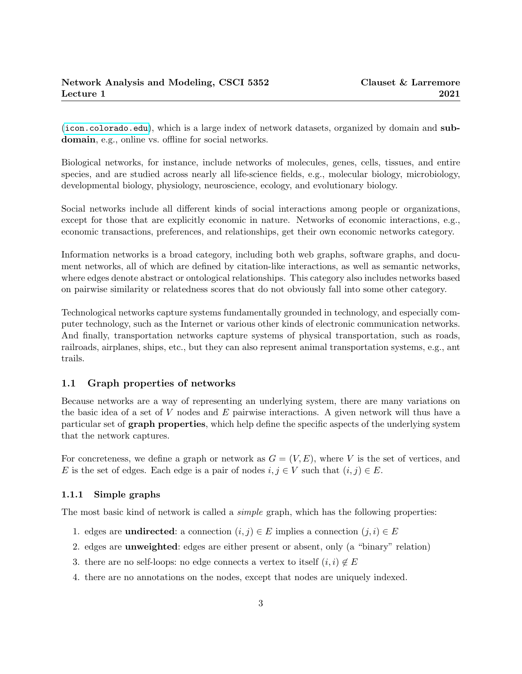(<icon.colorado.edu>), which is a large index of network datasets, organized by domain and subdomain, e.g., online vs. offline for social networks.

Biological networks, for instance, include networks of molecules, genes, cells, tissues, and entire species, and are studied across nearly all life-science fields, e.g., molecular biology, microbiology, developmental biology, physiology, neuroscience, ecology, and evolutionary biology.

Social networks include all different kinds of social interactions among people or organizations, except for those that are explicitly economic in nature. Networks of economic interactions, e.g., economic transactions, preferences, and relationships, get their own economic networks category.

Information networks is a broad category, including both web graphs, software graphs, and document networks, all of which are defined by citation-like interactions, as well as semantic networks, where edges denote abstract or ontological relationships. This category also includes networks based on pairwise similarity or relatedness scores that do not obviously fall into some other category.

Technological networks capture systems fundamentally grounded in technology, and especially computer technology, such as the Internet or various other kinds of electronic communication networks. And finally, transportation networks capture systems of physical transportation, such as roads, railroads, airplanes, ships, etc., but they can also represent animal transportation systems, e.g., ant trails.

### 1.1 Graph properties of networks

Because networks are a way of representing an underlying system, there are many variations on the basic idea of a set of V nodes and E pairwise interactions. A given network will thus have a particular set of graph properties, which help define the specific aspects of the underlying system that the network captures.

For concreteness, we define a graph or network as  $G = (V, E)$ , where V is the set of vertices, and E is the set of edges. Each edge is a pair of nodes  $i, j \in V$  such that  $(i, j) \in E$ .

#### 1.1.1 Simple graphs

The most basic kind of network is called a *simple* graph, which has the following properties:

- 1. edges are **undirected**: a connection  $(i, j) \in E$  implies a connection  $(j, i) \in E$
- 2. edges are unweighted: edges are either present or absent, only (a "binary" relation)
- 3. there are no self-loops: no edge connects a vertex to itself  $(i, i) \notin E$
- 4. there are no annotations on the nodes, except that nodes are uniquely indexed.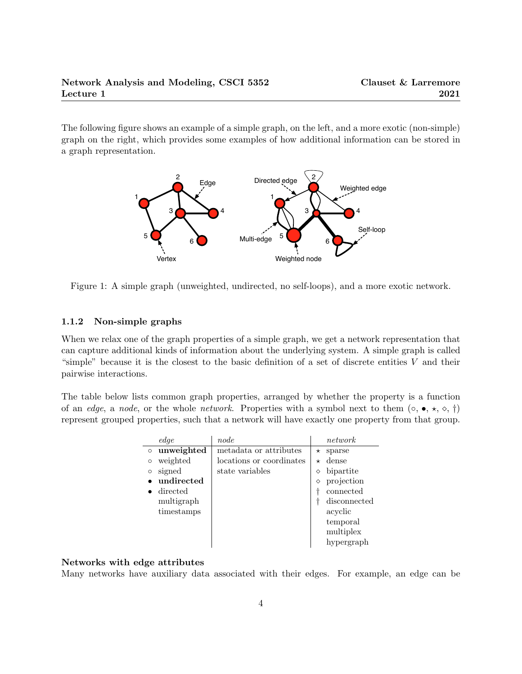The following figure shows an example of a simple graph, on the left, and a more exotic (non-simple) graph on the right, which provides some examples of how additional information can be stored in a graph representation.



Figure 1: A simple graph (unweighted, undirected, no self-loops), and a more exotic network.

#### 1.1.2 Non-simple graphs

When we relax one of the graph properties of a simple graph, we get a network representation that can capture additional kinds of information about the underlying system. A simple graph is called "simple" because it is the closest to the basic definition of a set of discrete entities  $V$  and their pairwise interactions.

The table below lists common graph properties, arranged by whether the property is a function of an edge, a node, or the whole network. Properties with a symbol next to them  $(\circ, \bullet, \star, \circ, \dagger)$ represent grouped properties, such that a network will have exactly one property from that group.

|         | edge       | node                     |          | network      |
|---------|------------|--------------------------|----------|--------------|
| $\circ$ | unweighted | metadata or attributes   | $^\star$ | sparse       |
| $\circ$ | weighted   | locations or coordinates | $^\star$ | dense        |
| $\circ$ | signed     | state variables          | ♦        | bipartite    |
|         | undirected |                          | ♦        | projection   |
|         | directed   |                          |          | connected    |
|         | multigraph |                          |          | disconnected |
|         | timestamps |                          |          | acyclic      |
|         |            |                          |          | temporal     |
|         |            |                          |          | multiplex    |
|         |            |                          |          | hypergraph   |

#### Networks with edge attributes

Many networks have auxiliary data associated with their edges. For example, an edge can be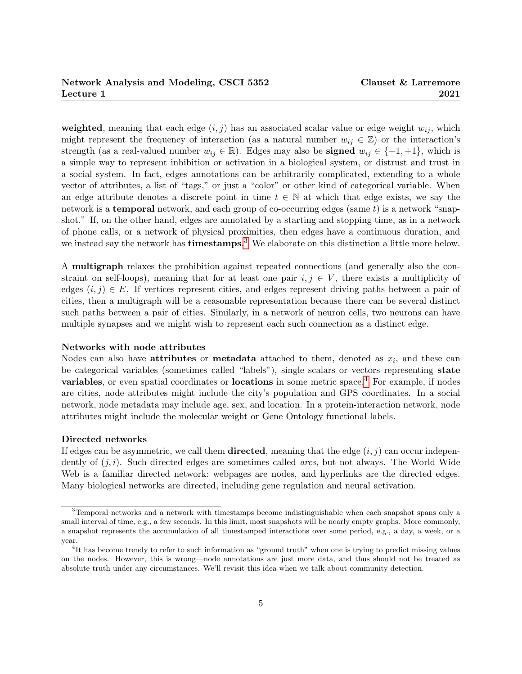weighted, meaning that each edge  $(i, j)$  has an associated scalar value or edge weight  $w_{ij}$ , which might represent the frequency of interaction (as a natural number  $w_{ij} \in \mathbb{Z}$ ) or the interaction's strength (as a real-valued number  $w_{ij} \in \mathbb{R}$ ). Edges may also be **signed**  $w_{ij} \in \{-1, +1\}$ , which is a simple way to represent inhibition or activation in a biological system, or distrust and trust in a social system. In fact, edges annotations can be arbitrarily complicated, extending to a whole vector of attributes, a list of "tags," or just a "color" or other kind of categorical variable. When an edge attribute denotes a discrete point in time  $t \in \mathbb{N}$  at which that edge exists, we say the network is a **temporal** network, and each group of co-occurring edges (same  $t$ ) is a network "snapshot." If, on the other hand, edges are annotated by a starting and stopping time, as in a network of phone calls, or a network of physical proximities, then edges have a continuous duration, and we instead say the network has **timestamps**.<sup>[3](#page-4-0)</sup> We elaborate on this distinction a little more below.

A multigraph relaxes the prohibition against repeated connections (and generally also the constraint on self-loops), meaning that for at least one pair  $i, j \in V$ , there exists a multiplicity of edges  $(i, j) \in E$ . If vertices represent cities, and edges represent driving paths between a pair of cities, then a multigraph will be a reasonable representation because there can be several distinct such paths between a pair of cities. Similarly, in a network of neuron cells, two neurons can have multiple synapses and we might wish to represent each such connection as a distinct edge.

#### Networks with node attributes

Nodes can also have **attributes** or **metadata** attached to them, denoted as  $x_i$ , and these can be categorical variables (sometimes called "labels"), single scalars or vectors representing state **variables**, or even spatial coordinates or **locations** in some metric space.<sup>[4](#page-4-1)</sup> For example, if nodes are cities, node attributes might include the city's population and GPS coordinates. In a social network, node metadata may include age, sex, and location. In a protein-interaction network, node attributes might include the molecular weight or Gene Ontology functional labels.

#### Directed networks

If edges can be asymmetric, we call them **directed**, meaning that the edge  $(i, j)$  can occur independently of  $(j, i)$ . Such directed edges are sometimes called *arcs*, but not always. The World Wide Web is a familiar directed network: webpages are nodes, and hyperlinks are the directed edges. Many biological networks are directed, including gene regulation and neural activation.

<span id="page-4-0"></span><sup>&</sup>lt;sup>3</sup>Temporal networks and a network with timestamps become indistinguishable when each snapshot spans only a small interval of time, e.g., a few seconds. In this limit, most snapshots will be nearly empty graphs. More commonly, a snapshot represents the accumulation of all timestamped interactions over some period, e.g., a day, a week, or a year.

<span id="page-4-1"></span><sup>&</sup>lt;sup>4</sup>It has become trendy to refer to such information as "ground truth" when one is trying to predict missing values on the nodes. However, this is wrong—node annotations are just more data, and thus should not be treated as absolute truth under any circumstances. We'll revisit this idea when we talk about community detection.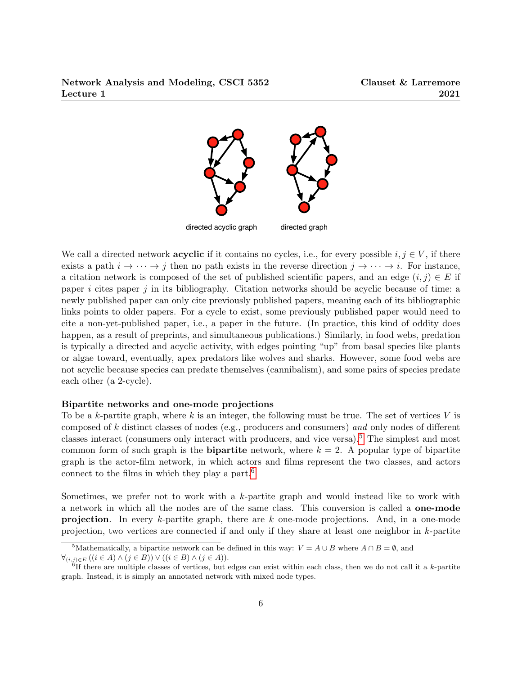

We call a directed network **acyclic** if it contains no cycles, i.e., for every possible  $i, j \in V$ , if there exists a path  $i \to \cdots \to j$  then no path exists in the reverse direction  $j \to \cdots \to i$ . For instance, a citation network is composed of the set of published scientific papers, and an edge  $(i, j) \in E$  if paper i cites paper j in its bibliography. Citation networks should be acyclic because of time: a newly published paper can only cite previously published papers, meaning each of its bibliographic links points to older papers. For a cycle to exist, some previously published paper would need to cite a non-yet-published paper, i.e., a paper in the future. (In practice, this kind of oddity does happen, as a result of preprints, and simultaneous publications.) Similarly, in food webs, predation is typically a directed and acyclic activity, with edges pointing "up" from basal species like plants or algae toward, eventually, apex predators like wolves and sharks. However, some food webs are not acyclic because species can predate themselves (cannibalism), and some pairs of species predate each other (a 2-cycle).

#### Bipartite networks and one-mode projections

To be a k-partite graph, where  $k$  is an integer, the following must be true. The set of vertices  $V$  is composed of k distinct classes of nodes (e.g., producers and consumers) and only nodes of different classes interact (consumers only interact with producers, and vice versa).[5](#page-5-0) The simplest and most common form of such graph is the **bipartite** network, where  $k = 2$ . A popular type of bipartite graph is the actor-film network, in which actors and films represent the two classes, and actors connect to the films in which they play a part. $6$ 

Sometimes, we prefer not to work with a  $k$ -partite graph and would instead like to work with a network in which all the nodes are of the same class. This conversion is called a one-mode **projection.** In every  $k$ -partite graph, there are  $k$  one-mode projections. And, in a one-mode projection, two vertices are connected if and only if they share at least one neighbor in k-partite

<span id="page-5-0"></span><sup>&</sup>lt;sup>5</sup>Mathematically, a bipartite network can be defined in this way:  $V = A \cup B$  where  $A \cap B = \emptyset$ , and

 $\forall (i,j)\in E \ ((i\in A) \land (j\in B)) \lor ((i\in B) \land (j\in A)).$ 

<span id="page-5-1"></span> ${}^{6}$ If there are multiple classes of vertices, but edges can exist within each class, then we do not call it a k-partite graph. Instead, it is simply an annotated network with mixed node types.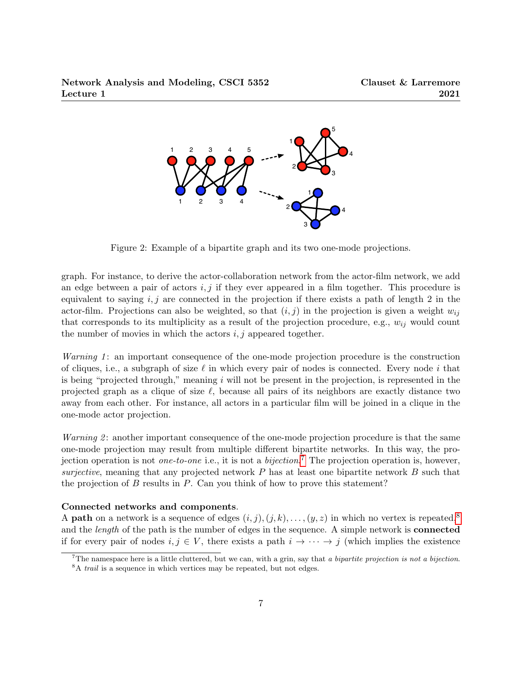

Figure 2: Example of a bipartite graph and its two one-mode projections.

graph. For instance, to derive the actor-collaboration network from the actor-film network, we add an edge between a pair of actors  $i, j$  if they ever appeared in a film together. This procedure is equivalent to saying  $i, j$  are connected in the projection if there exists a path of length 2 in the actor-film. Projections can also be weighted, so that  $(i, j)$  in the projection is given a weight  $w_{ij}$ that corresponds to its multiplicity as a result of the projection procedure, e.g.,  $w_{ij}$  would count the number of movies in which the actors  $i, j$  appeared together.

*Warning 1*: an important consequence of the one-mode projection procedure is the construction of cliques, i.e., a subgraph of size  $\ell$  in which every pair of nodes is connected. Every node i that is being "projected through," meaning  $i$  will not be present in the projection, is represented in the projected graph as a clique of size  $\ell$ , because all pairs of its neighbors are exactly distance two away from each other. For instance, all actors in a particular film will be joined in a clique in the one-mode actor projection.

*Warning 2*: another important consequence of the one-mode projection procedure is that the same one-mode projection may result from multiple different bipartite networks. In this way, the projection operation is not *one-to-one* i.e., it is not a *bijection*.<sup>[7](#page-6-0)</sup> The projection operation is, however, surjective, meaning that any projected network  $P$  has at least one bipartite network  $B$  such that the projection of  $B$  results in  $P$ . Can you think of how to prove this statement?

#### Connected networks and components.

A **path** on a network is a sequence of edges  $(i, j), (j, k), \ldots, (y, z)$  in which no vertex is repeated,<sup>[8](#page-6-1)</sup> and the *length* of the path is the number of edges in the sequence. A simple network is **connected** if for every pair of nodes  $i, j \in V$ , there exists a path  $i \to \cdots \to j$  (which implies the existence

<span id="page-6-0"></span><sup>&</sup>lt;sup>7</sup>The namespace here is a little cluttered, but we can, with a grin, say that a bipartite projection is not a bijection.

<span id="page-6-1"></span><sup>&</sup>lt;sup>8</sup>A *trail* is a sequence in which vertices may be repeated, but not edges.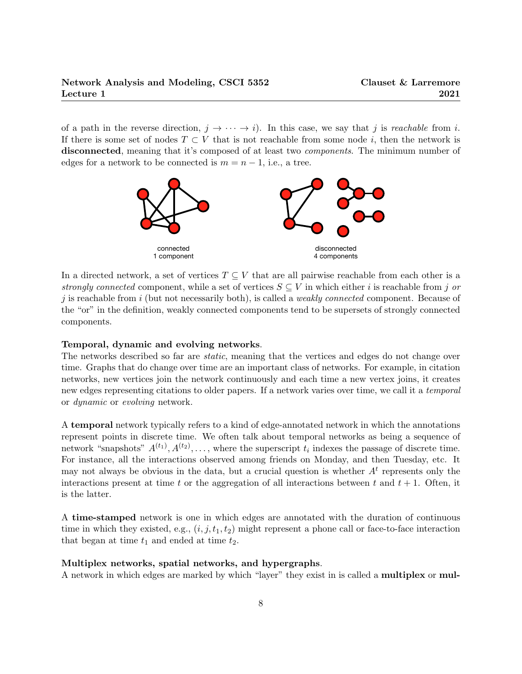of a path in the reverse direction,  $j \to \cdots \to i$ ). In this case, we say that j is *reachable* from i. If there is some set of nodes  $T \subset V$  that is not reachable from some node i, then the network is disconnected, meaning that it's composed of at least two *components*. The minimum number of edges for a network to be connected is  $m = n - 1$ , i.e., a tree.



In a directed network, a set of vertices  $T \subseteq V$  that are all pairwise reachable from each other is a strongly connected component, while a set of vertices  $S \subseteq V$  in which either i is reachable from j or j is reachable from i (but not necessarily both), is called a *weakly connected* component. Because of the "or" in the definition, weakly connected components tend to be supersets of strongly connected components.

#### Temporal, dynamic and evolving networks.

The networks described so far are *static*, meaning that the vertices and edges do not change over time. Graphs that do change over time are an important class of networks. For example, in citation networks, new vertices join the network continuously and each time a new vertex joins, it creates new edges representing citations to older papers. If a network varies over time, we call it a temporal or dynamic or evolving network.

A temporal network typically refers to a kind of edge-annotated network in which the annotations represent points in discrete time. We often talk about temporal networks as being a sequence of network "snapshots"  $A^{(t_1)}, A^{(t_2)}, \ldots$ , where the superscript  $t_i$  indexes the passage of discrete time. For instance, all the interactions observed among friends on Monday, and then Tuesday, etc. It may not always be obvious in the data, but a crucial question is whether  $A<sup>t</sup>$  represents only the interactions present at time t or the aggregation of all interactions between t and  $t + 1$ . Often, it is the latter.

A time-stamped network is one in which edges are annotated with the duration of continuous time in which they existed, e.g.,  $(i, j, t_1, t_2)$  might represent a phone call or face-to-face interaction that began at time  $t_1$  and ended at time  $t_2$ .

#### Multiplex networks, spatial networks, and hypergraphs.

A network in which edges are marked by which "layer" they exist in is called a multiplex or mul-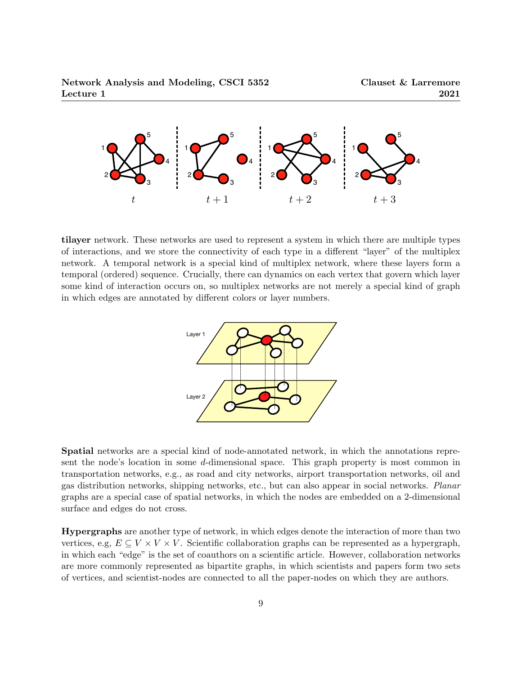

tilayer network. These networks are used to represent a system in which there are multiple types of interactions, and we store the connectivity of each type in a different "layer" of the multiplex network. A temporal network is a special kind of multiplex network, where these layers form a temporal (ordered) sequence. Crucially, there can dynamics on each vertex that govern which layer some kind of interaction occurs on, so multiplex networks are not merely a special kind of graph in which edges are annotated by different colors or layer numbers.



Spatial networks are a special kind of node-annotated network, in which the annotations represent the node's location in some d-dimensional space. This graph property is most common in transportation networks, e.g., as road and city networks, airport transportation networks, oil and gas distribution networks, shipping networks, etc., but can also appear in social networks. Planar graphs are a special case of spatial networks, in which the nodes are embedded on a 2-dimensional surface and edges do not cross.

Hypergraphs are another type of network, in which edges denote the interaction of more than two vertices, e.g,  $E \subseteq V \times V \times V$ . Scientific collaboration graphs can be represented as a hypergraph, in which each "edge" is the set of coauthors on a scientific article. However, collaboration networks are more commonly represented as bipartite graphs, in which scientists and papers form two sets of vertices, and scientist-nodes are connected to all the paper-nodes on which they are authors.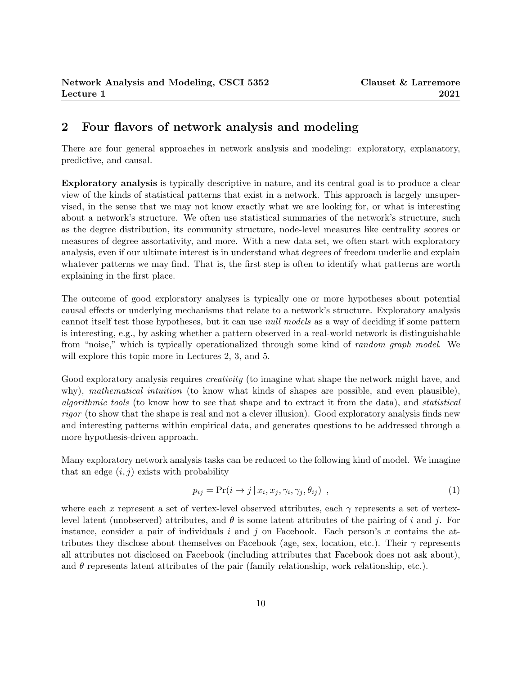# 2 Four flavors of network analysis and modeling

There are four general approaches in network analysis and modeling: exploratory, explanatory, predictive, and causal.

Exploratory analysis is typically descriptive in nature, and its central goal is to produce a clear view of the kinds of statistical patterns that exist in a network. This approach is largely unsupervised, in the sense that we may not know exactly what we are looking for, or what is interesting about a network's structure. We often use statistical summaries of the network's structure, such as the degree distribution, its community structure, node-level measures like centrality scores or measures of degree assortativity, and more. With a new data set, we often start with exploratory analysis, even if our ultimate interest is in understand what degrees of freedom underlie and explain whatever patterns we may find. That is, the first step is often to identify what patterns are worth explaining in the first place.

The outcome of good exploratory analyses is typically one or more hypotheses about potential causal effects or underlying mechanisms that relate to a network's structure. Exploratory analysis cannot itself test those hypotheses, but it can use null models as a way of deciding if some pattern is interesting, e.g., by asking whether a pattern observed in a real-world network is distinguishable from "noise," which is typically operationalized through some kind of random graph model. We will explore this topic more in Lectures 2, 3, and 5.

Good exploratory analysis requires *creativity* (to imagine what shape the network might have, and why), mathematical intuition (to know what kinds of shapes are possible, and even plausible), algorithmic tools (to know how to see that shape and to extract it from the data), and statistical rigor (to show that the shape is real and not a clever illusion). Good exploratory analysis finds new and interesting patterns within empirical data, and generates questions to be addressed through a more hypothesis-driven approach.

Many exploratory network analysis tasks can be reduced to the following kind of model. We imagine that an edge  $(i, j)$  exists with probability

<span id="page-9-0"></span>
$$
p_{ij} = \Pr(i \to j \mid x_i, x_j, \gamma_i, \gamma_j, \theta_{ij}) \tag{1}
$$

where each x represent a set of vertex-level observed attributes, each  $\gamma$  represents a set of vertexlevel latent (unobserved) attributes, and  $\theta$  is some latent attributes of the pairing of i and j. For instance, consider a pair of individuals i and j on Facebook. Each person's x contains the attributes they disclose about themselves on Facebook (age, sex, location, etc.). Their  $\gamma$  represents all attributes not disclosed on Facebook (including attributes that Facebook does not ask about), and  $\theta$  represents latent attributes of the pair (family relationship, work relationship, etc.).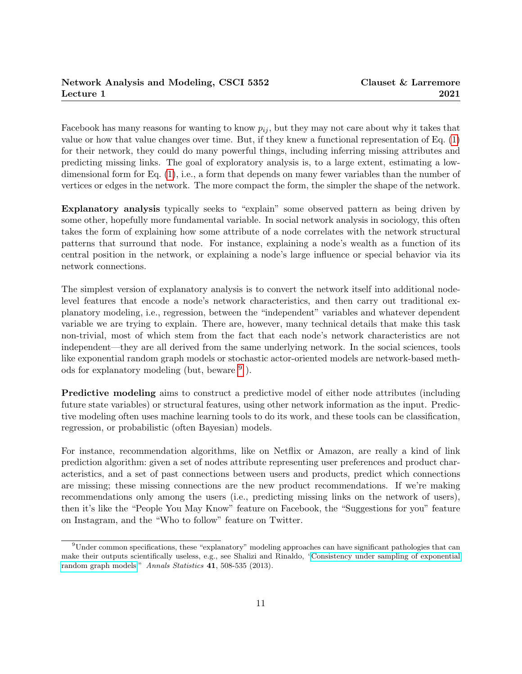Facebook has many reasons for wanting to know  $p_{ij}$ , but they may not care about why it takes that value or how that value changes over time. But, if they knew a functional representation of Eq. [\(1\)](#page-9-0) for their network, they could do many powerful things, including inferring missing attributes and predicting missing links. The goal of exploratory analysis is, to a large extent, estimating a lowdimensional form for Eq. [\(1\)](#page-9-0), i.e., a form that depends on many fewer variables than the number of vertices or edges in the network. The more compact the form, the simpler the shape of the network.

Explanatory analysis typically seeks to "explain" some observed pattern as being driven by some other, hopefully more fundamental variable. In social network analysis in sociology, this often takes the form of explaining how some attribute of a node correlates with the network structural patterns that surround that node. For instance, explaining a node's wealth as a function of its central position in the network, or explaining a node's large influence or special behavior via its network connections.

The simplest version of explanatory analysis is to convert the network itself into additional nodelevel features that encode a node's network characteristics, and then carry out traditional explanatory modeling, i.e., regression, between the "independent" variables and whatever dependent variable we are trying to explain. There are, however, many technical details that make this task non-trivial, most of which stem from the fact that each node's network characteristics are not independent—they are all derived from the same underlying network. In the social sciences, tools like exponential random graph models or stochastic actor-oriented models are network-based methods for explanatory modeling (but, beware  $9$ ).

Predictive modeling aims to construct a predictive model of either node attributes (including future state variables) or structural features, using other network information as the input. Predictive modeling often uses machine learning tools to do its work, and these tools can be classification, regression, or probabilistic (often Bayesian) models.

For instance, recommendation algorithms, like on Netflix or Amazon, are really a kind of link prediction algorithm: given a set of nodes attribute representing user preferences and product characteristics, and a set of past connections between users and products, predict which connections are missing; these missing connections are the new product recommendations. If we're making recommendations only among the users (i.e., predicting missing links on the network of users), then it's like the "People You May Know" feature on Facebook, the "Suggestions for you" feature on Instagram, and the "Who to follow" feature on Twitter.

<span id="page-10-0"></span><sup>9</sup>Under common specifications, these "explanatory" modeling approaches can have significant pathologies that can make their outputs scientifically useless, e.g., see Shalizi and Rinaldo, ["Consistency under sampling of exponential](https://dx.doi.org/10.1214/12-AOS1044) [random graph models.](https://dx.doi.org/10.1214/12-AOS1044)" Annals Statistics 41, 508-535 (2013).